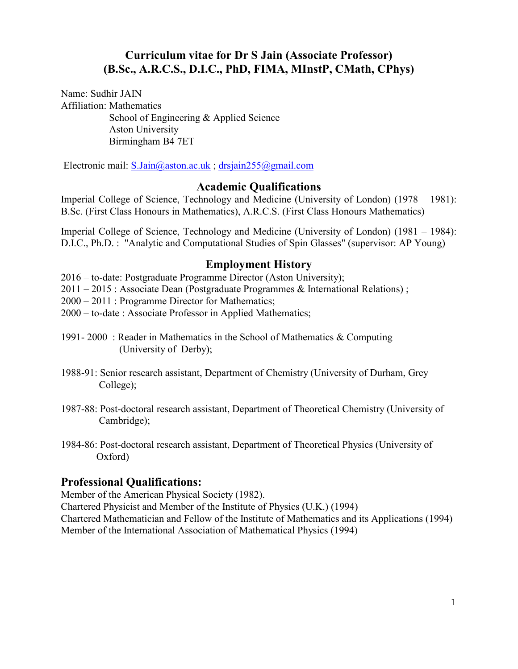## **Curriculum vitae for Dr S Jain (Associate Professor) (B.Sc., A.R.C.S., D.I.C., PhD, FIMA, MInstP, CMath, CPhys)**

Name: Sudhir JAIN Affiliation: Mathematics School of Engineering & Applied Science Aston University Birmingham B4 7ET

Electronic mail: [S.Jain@aston.ac.uk](mailto:S.Jain@aston.ac.uk) ; [drsjain255@gmail.com](mailto:drsjain255@gmail.com)

### **Academic Qualifications**

Imperial College of Science, Technology and Medicine (University of London) (1978 – 1981): B.Sc. (First Class Honours in Mathematics), A.R.C.S. (First Class Honours Mathematics)

Imperial College of Science, Technology and Medicine (University of London) (1981 – 1984): D.I.C., Ph.D. : "Analytic and Computational Studies of Spin Glasses" (supervisor: AP Young)

#### **Employment History**

2016 – to-date: Postgraduate Programme Director (Aston University);

2011 – 2015 : Associate Dean (Postgraduate Programmes & International Relations) ;

2000 – 2011 : Programme Director for Mathematics;

- 2000 to-date : Associate Professor in Applied Mathematics;
- 1991- 2000 : Reader in Mathematics in the School of Mathematics & Computing (University of Derby);
- 1988-91: Senior research assistant, Department of Chemistry (University of Durham, Grey College);
- 1987-88: Post-doctoral research assistant, Department of Theoretical Chemistry (University of Cambridge);
- 1984-86: Post-doctoral research assistant, Department of Theoretical Physics (University of Oxford)

## **Professional Qualifications:**

Member of the American Physical Society (1982).

Chartered Physicist and Member of the Institute of Physics (U.K.) (1994)

Chartered Mathematician and Fellow of the Institute of Mathematics and its Applications (1994) Member of the International Association of Mathematical Physics (1994)